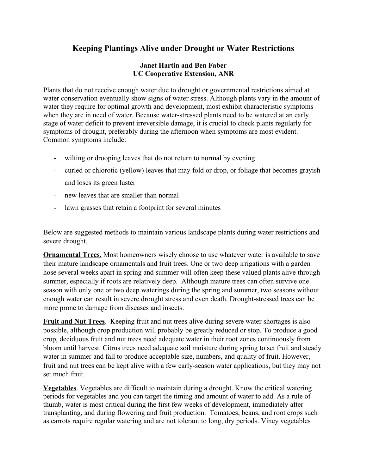## **Keeping Plantings Alive under Drought or Water Restrictions**

## **Janet Hartin and Ben Faber UC Cooperative Extension, ANR**

Plants that do not receive enough water due to drought or governmental restrictions aimed at water conservation eventually show signs of water stress. Although plants vary in the amount of water they require for optimal growth and development, most exhibit characteristic symptoms when they are in need of water. Because water-stressed plants need to be watered at an early stage of water deficit to prevent irreversible damage, it is crucial to check plants regularly for symptoms of drought, preferably during the afternoon when symptoms are most evident. Common symptoms include:

- wilting or drooping leaves that do not return to normal by evening
- curled or chlorotic (yellow) leaves that may fold or drop, or foliage that becomes grayish and loses its green luster
- new leaves that are smaller than normal
- lawn grasses that retain a footprint for several minutes

Below are suggested methods to maintain various landscape plants during water restrictions and severe drought.

**Ornamental Trees.** Most homeowners wisely choose to use whatever water is available to save their mature landscape ornamentals and fruit trees. One or two deep irrigations with a garden hose several weeks apart in spring and summer will often keep these valued plants alive through summer, especially if roots are relatively deep. Although mature trees can often survive one season with only one or two deep waterings during the spring and summer, two seasons without enough water can result in severe drought stress and even death. Drought-stressed trees can be more prone to damage from diseases and insects.

**Fruit and Nut Trees**. Keeping fruit and nut trees alive during severe water shortages is also possible, although crop production will probably be greatly reduced or stop. To produce a good crop, deciduous fruit and nut trees need adequate water in their root zones continuously from bloom until harvest. Citrus trees need adequate soil moisture during spring to set fruit and steady water in summer and fall to produce acceptable size, numbers, and quality of fruit. However, fruit and nut trees can be kept alive with a few early-season water applications, but they may not set much fruit.

**Vegetables**. Vegetables are difficult to maintain during a drought. Know the critical watering periods for vegetables and you can target the timing and amount of water to add. As a rule of thumb, water is most critical during the first few weeks of development, immediately after transplanting, and during flowering and fruit production. Tomatoes, beans, and root crops such as carrots require regular watering and are not tolerant to long, dry periods. Viney vegetables